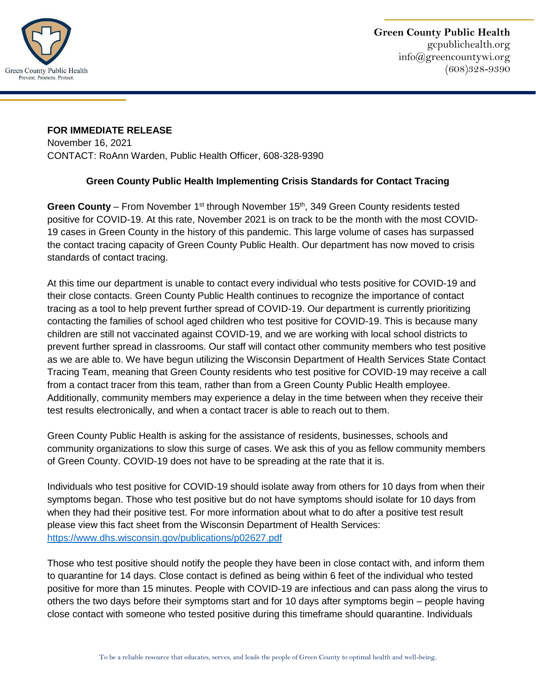

## **FOR IMMEDIATE RELEASE**  November 16, 2021

CONTACT: RoAnn Warden, Public Health Officer, 608-328-9390

## **Green County Public Health Implementing Crisis Standards for Contact Tracing**

**Green County** – From November 1<sup>st</sup> through November 15<sup>th</sup>, 349 Green County residents tested positive for COVID-19. At this rate, November 2021 is on track to be the month with the most COVID-19 cases in Green County in the history of this pandemic. This large volume of cases has surpassed the contact tracing capacity of Green County Public Health. Our department has now moved to crisis standards of contact tracing.

At this time our department is unable to contact every individual who tests positive for COVID-19 and their close contacts. Green County Public Health continues to recognize the importance of contact tracing as a tool to help prevent further spread of COVID-19. Our department is currently prioritizing contacting the families of school aged children who test positive for COVID-19. This is because many children are still not vaccinated against COVID-19, and we are working with local school districts to prevent further spread in classrooms. Our staff will contact other community members who test positive as we are able to. We have begun utilizing the Wisconsin Department of Health Services State Contact Tracing Team, meaning that Green County residents who test positive for COVID-19 may receive a call from a contact tracer from this team, rather than from a Green County Public Health employee. Additionally, community members may experience a delay in the time between when they receive their test results electronically, and when a contact tracer is able to reach out to them.

Green County Public Health is asking for the assistance of residents, businesses, schools and community organizations to slow this surge of cases. We ask this of you as fellow community members of Green County. COVID-19 does not have to be spreading at the rate that it is.

Individuals who test positive for COVID-19 should isolate away from others for 10 days from when their symptoms began. Those who test positive but do not have symptoms should isolate for 10 days from when they had their positive test. For more information about what to do after a positive test result please view this fact sheet from the Wisconsin Department of Health Services: <https://www.dhs.wisconsin.gov/publications/p02627.pdf>

Those who test positive should notify the people they have been in close contact with, and inform them to quarantine for 14 days. Close contact is defined as being within 6 feet of the individual who tested positive for more than 15 minutes. People with COVID-19 are infectious and can pass along the virus to others the two days before their symptoms start and for 10 days after symptoms begin – people having close contact with someone who tested positive during this timeframe should quarantine. Individuals